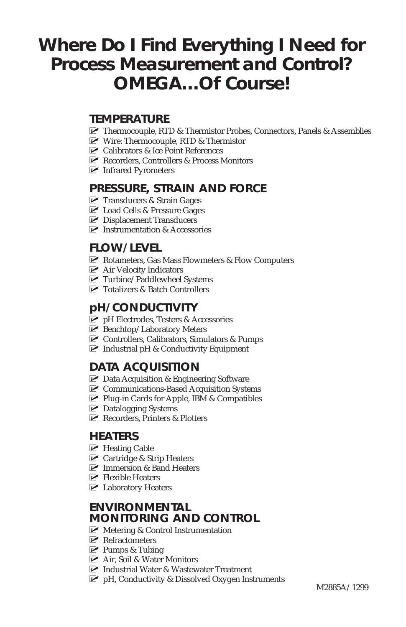# **Where Do I Find Everything I Need for Process Measurement and Control? OMEGA…Of Course!**

#### **TEMPERATURE**

- MU Thermocouple, RTD & Thermistor Probes, Connectors, Panels & Assemblies
- MU Wire: Thermocouple, RTD & Thermistor
- $\triangleright$  Calibrators & Ice Point References
- MU Recorders, Controllers & Process Monitors
- MU Infrared Pyrometers

## **PRESSURE, STRAIN AND FORCE**

- MU Transducers & Strain Gages
- M Load Cells & Pressure Gages
- MU Displacement Transducers
- $\triangleright$  Instrumentation & Accessories

# **FLOW/LEVEL**

- MU Rotameters, Gas Mass Flowmeters & Flow Computers
- MU Air Velocity Indicators
- MU Turbine/Paddlewheel Systems
- MU Totalizers & Batch Controllers

#### **pH/CONDUCTIVITY**

- MU pH Electrodes, Testers & Accessories
- $\blacktriangleright$  Benchtop/Laboratory Meters
- MU Controllers, Calibrators, Simulators & Pumps
- $\triangleright$  Industrial pH & Conductivity Equipment

## **DATA ACQUISITION**

- $\triangleright$  Data Acquisition & Engineering Software
- MU Communications-Based Acquisition Systems
- MU Plug-in Cards for Apple, IBM & Compatibles
- $\triangleright$  Datalogging Systems
- $\triangleright$  Recorders, Printers & Plotters

#### **HEATERS**

- $\blacktriangleright$  Heating Cable
- $\triangleright$  Cartridge & Strip Heaters
- M Immersion & Band Heaters
- $\blacktriangleright$  Flexible Heaters
- $\blacktriangleright$  Laboratory Heaters

## **ENVIRONMENTAL MONITORING AND CONTROL**

- $\triangleright$  Metering & Control Instrumentation
- $\blacktriangleright$  Refractometers
- $\mathbb F$  Pumps & Tubing
- MU Air, Soil & Water Monitors
- MU Industrial Water & Wastewater Treatment
- $\mathbb{F}$  pH, Conductivity & Dissolved Oxygen Instruments M2885A/1299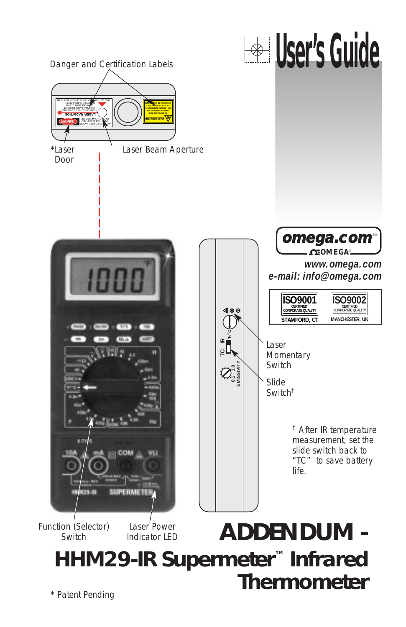

\* Patent Pending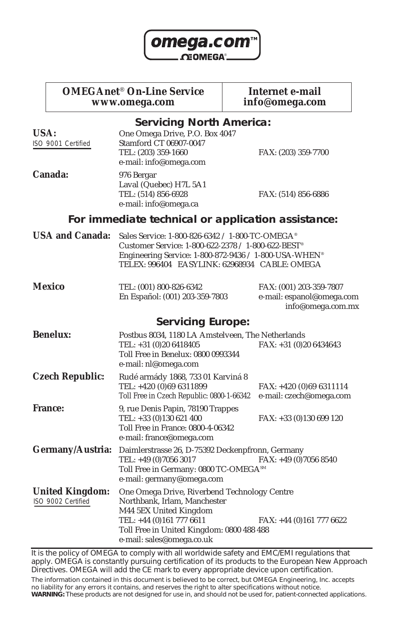

**OMEGAnet<sup>®</sup> On-Line Service Internet e-mail**<br>www.omega.com info@omega.com www.omega.com

| <b>Servicing North America:</b>                    |                                                                                                                                                                                                                             |                                                                           |  |  |  |
|----------------------------------------------------|-----------------------------------------------------------------------------------------------------------------------------------------------------------------------------------------------------------------------------|---------------------------------------------------------------------------|--|--|--|
| USA:<br>ISO 9001 Certified                         | One Omega Drive, P.O. Box 4047<br>Stamford CT 06907-0047<br>TEL: (203) 359-1660<br>e-mail: info@omega.com                                                                                                                   | FAX: (203) 359-7700                                                       |  |  |  |
| Canada:                                            | 976 Bergar<br>Laval (Quebec) H7L 5A1<br>TEL: (514) 856-6928<br>e-mail: info@omega.ca                                                                                                                                        | FAX: (514) 856-6886                                                       |  |  |  |
| For immediate technical or application assistance: |                                                                                                                                                                                                                             |                                                                           |  |  |  |
| <b>USA and Canada:</b>                             | Sales Service: 1-800-826-6342 / 1-800-TC-OMEGA®<br>Customer Service: 1-800-622-2378 / 1-800-622-BEST®<br>Engineering Service: 1-800-872-9436 / 1-800-USA-WHEN <sup>®</sup><br>TELEX: 996404 EASYLINK: 62968934 CABLE: OMEGA |                                                                           |  |  |  |
| <b>Mexico</b>                                      | TEL: (001) 800-826-6342<br>En Español: (001) 203-359-7803                                                                                                                                                                   | FAX: (001) 203-359-7807<br>e-mail: espanol@omega.com<br>info@omega.com.mx |  |  |  |
|                                                    | <b>Servicing Europe:</b>                                                                                                                                                                                                    |                                                                           |  |  |  |
| <b>Benelux:</b>                                    | Postbus 8034, 1180 LA Amstelveen. The Netherlands<br>TEL: +31 (0)20 6418405<br>Toll Free in Benelux: 0800 0993344<br>e-mail: nl@omega.com                                                                                   | $FAX: +31(0)206434643$                                                    |  |  |  |
| <b>Czech Republic:</b>                             | Rudé armády 1868, 733 01 Karviná 8<br>TEL: +420 (0)69 6311899<br>Toll Free in Czech Republic: 0800-1-66342                                                                                                                  | FAX: +420 (0)69 6311114<br>e-mail: czech@omega.com                        |  |  |  |
| <b>France:</b>                                     | 9, rue Denis Papin, 78190 Trappes<br>TEL: +33 (0)130 621 400<br>Toll Free in France: 0800-4-06342<br>e-mail: france@omega.com                                                                                               | $FAX: +33(0)130699120$                                                    |  |  |  |
| Germany/Austria:                                   | Daimlerstrasse 26, D-75392 Deckenpfronn, Germany<br>TEL: +49 (0)7056 3017<br>Toll Free in Germany: 0800 TC-OMEGASM<br>e-mail: germany@omega.com                                                                             | FAX: +49 (0)7056 8540                                                     |  |  |  |
| <b>United Kingdom:</b><br>ISO 9002 Certified       | One Omega Drive, Riverbend Technology Centre<br>Northbank, Irlam, Manchester<br>M44 5EX United Kingdom<br>TEL: +44 (0)161 777 6611<br>Toll Free in United Kingdom: 0800 488 488<br>e-mail: sales@omega.co.uk                | $FAX: +44(0)1617776622$                                                   |  |  |  |

It is the policy of OMEGA to comply with all worldwide safety and EMC/EMI regulations that apply. OMEGA is constantly pursuing certification of its products to the European New Approach Directives. OMEGA will add the CE mark to every appropriate device upon certification.

The information contained in this document is believed to be correct, but OMEGA Engineering, Inc. accepts no liability for any errors it contains, and reserves the right to alter specifications without notice. **WARNING:** These products are not designed for use in, and should not be used for, patient-connected applications.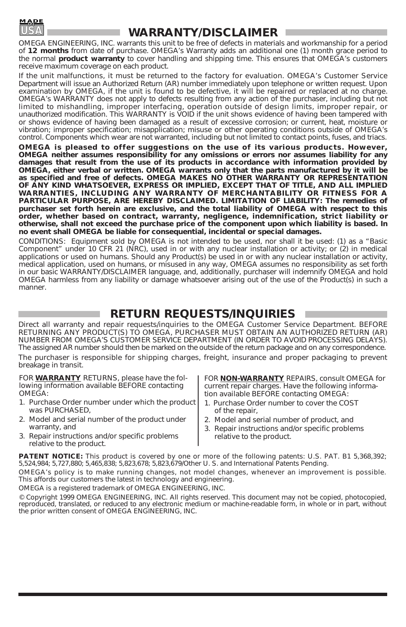

#### **WARRANTY/DISCLAIMER**

OMEGA ENGINEERING, INC. warrants this unit to be free of defects in materials and workmanship for a period of **12 months** from date of purchase. OMEGA's Warranty adds an additional one (1) month grace period to the normal **product warranty** to cover handling and shipping time. This ensures that OMEGA's customers receive maximum coverage on each product.

If the unit malfunctions, it must be returned to the factory for evaluation. OMEGA's Customer Service Department will issue an Authorized Return (AR) number immediately upon telephone or written request. Upon examination by OMEGA, if the unit is found to be defective, it will be repaired or replaced at no charge. OMEGA's WARRANTY does not apply to defects resulting from any action of the purchaser, including but not limited to mishandling, improper interfacing, operation outside of design limits, improper repair, or unauthorized modification. This WARRANTY is VOID if the unit shows evidence of having been tampered with or shows evidence of having been damaged as a result of excessive corrosion; or current, heat, moisture or vibration; improper specification; misapplication; misuse or other operating conditions outside of OMEGA's control. Components which wear are not warranted, including but not limited to contact points, fuses, and triacs.

**OMEGA is pleased to offer suggestions on the use of its various products. However, OMEGA neither assumes responsibility for any omissions or errors nor assumes liability for any damages that result from the use of its products in accordance with information provided by OMEGA, either verbal or written. OMEGA warrants only that the parts manufactured by it will be as specified and free of defects. OMEGA MAKES NO OTHER WARRANTY OR REPRESENTATION OF ANY KIND WHATSOEVER, EXPRESS OR IMPLIED, EXCEPT THAT OF TITLE, AND ALL IMPLIED WARRANTIES, INCLUDING ANY WARRANTY OF MERCHANTABILITY OR FITNESS FOR A PARTICULAR PURPOSE, ARE HEREBY DISCLAIMED. LIMITATION OF LIABILITY: The remedies of purchaser set forth herein are exclusive, and the total liability of OMEGA with respect to this order, whether based on contract, warranty, negligence, indemnification, strict liability or otherwise, shall not exceed the purchase price of the component upon which liability is based. In no event shall OMEGA be liable for consequential, incidental or special damages.**

CONDITIONS: Equipment sold by OMEGA is not intended to be used, nor shall it be used: (1) as a "Basic Component" under 10 CFR 21 (NRC), used in or with any nuclear installation or activity; or (2) in medical applications or used on humans. Should any Product(s) be used in or with any nuclear installation or activity, medical application, used on humans, or misused in any way, OMEGA assumes no responsibility as set forth in our basic WARRANTY/DISCLAIMER language, and, additionally, purchaser will indemnify OMEGA and hold OMEGA harmless from any liability or damage whatsoever arising out of the use of the Product(s) in such a manner.

### **RETURN REQUESTS/INQUIRIES**

Direct all warranty and repair requests/inquiries to the OMEGA Customer Service Department. BEFORE RETURNING ANY PRODUCT(S) TO OMEGA, PURCHASER MUST OBTAIN AN AUTHORIZED RETURN (AR) NUMBER FROM OMEGA'S CUSTOMER SERVICE DEPARTMENT (IN ORDER TO AVOID PROCESSING DELAYS). The assigned AR number should then be marked on the outside of the return package and on any correspondence. The purchaser is responsible for shipping charges, freight, insurance and proper packaging to prevent breakage in transit.

FOR **WARRANTY** RETURNS, please have the following information available BEFORE contacting OMEGA:

- 1. Purchase Order number under which the product was PURCHASED,
- 2. Model and serial number of the product under warranty, and
- 3. Repair instructions and/or specific problems relative to the product.

FOR **NON-WARRANTY** REPAIRS, consult OMEGA for current repair charges. Have the following information available BEFORE contacting OMEGA:

- 1. Purchase Order number to cover the COST of the repair,
- 2. Model and serial number of product, and
- 3. Repair instructions and/or specific problems relative to the product.

PATENT NOTICE: This product is covered by one or more of the following patents: U.S. PAT. B1 5,368,392; 5,524,984; 5,727,880; 5,465,838; 5,823,678; 5,823,679/Other U. S. and International Patents Pending.

OMEGA's policy is to make running changes, not model changes, whenever an improvement is possible. This affords our customers the latest in technology and engineering.

OMEGA is a registered trademark of OMEGA ENGINEERING, INC.

© Copyright 1999 OMEGA ENGINEERING, INC. All rights reserved. This document may not be copied, photocopied, reproduced, translated, or reduced to any electronic medium or machine-readable form, in whole or in part, without the prior written consent of OMEGA ENGINEERING, INC.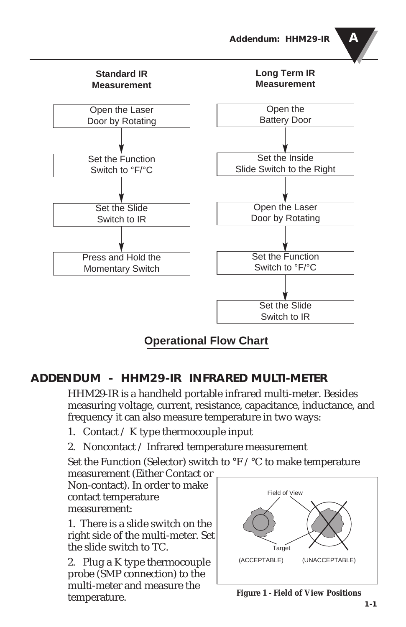



**Operational Flow Chart**

# **ADDENDUM - HHM29-IR INFRARED MULTI-METER**

HHM29-IR is a handheld portable infrared multi-meter. Besides measuring voltage, current, resistance, capacitance, inductance, and frequency it can also measure temperature in two ways:

- 1. Contact  $\angle K$  type thermocouple input
- 2. Noncontact / Infrared temperature measurement

Set the Function (Selector) switch to °F /°C to make temperature

measurement (Either Contact or Non-contact). In order to make contact temperature measurement:

1. There is a slide switch on the right side of the multi-meter. Set the slide switch to TC.

2. Plug a K type thermocouple probe (SMP connection) to the multi-meter and measure the temperature.



**Figure 1 - Field of View Positions**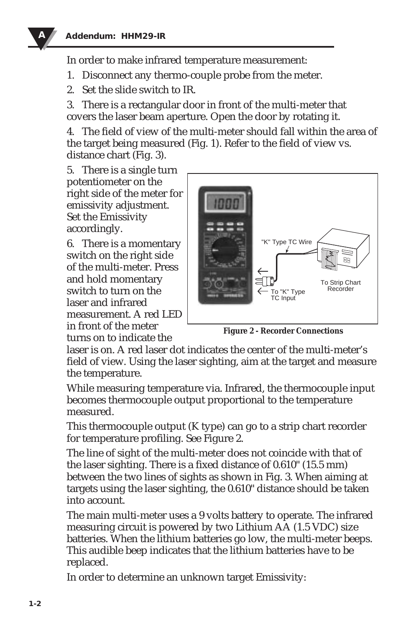

In order to make infrared temperature measurement:

- 1. Disconnect any thermo-couple probe from the meter.
- 2. Set the slide switch to IR.

3. There is a rectangular door in front of the multi-meter that covers the laser beam aperture. Open the door by rotating it.

4. The field of view of the multi-meter should fall within the area of the target being measured (Fig. 1). Refer to the field of view vs. distance chart (Fig. 3).

5. There is a single turn potentiometer on the right side of the meter for emissivity adjustment. Set the Emissivity accordingly.

6. There is a momentary switch on the right side of the multi-meter. Press and hold momentary switch to turn on the laser and infrared measurement. A red LED in front of the meter turns on to indicate the



**Figure 2 - Recorder Connections**

laser is on. A red laser dot indicates the center of the multi-meter's field of view. Using the laser sighting, aim at the target and measure the temperature.

While measuring temperature via. Infrared, the thermocouple input becomes thermocouple output proportional to the temperature measured.

This thermocouple output (K type) can go to a strip chart recorder for temperature profiling. See Figure 2.

The line of sight of the multi-meter does not coincide with that of the laser sighting. There is a fixed distance of 0.610" (15.5 mm) between the two lines of sights as shown in Fig. 3. When aiming at targets using the laser sighting, the 0.610" distance should be taken into account.

The main multi-meter uses a 9 volts battery to operate. The infrared measuring circuit is powered by two Lithium AA (1.5 VDC) size batteries. When the lithium batteries go low, the multi-meter beeps. This audible beep indicates that the lithium batteries have to be replaced.

In order to determine an unknown target Emissivity: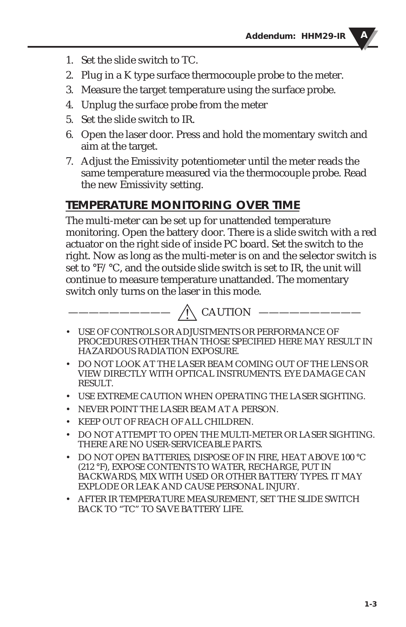- 1. Set the slide switch to TC.
- 2. Plug in a K type surface thermocouple probe to the meter.
- 3. Measure the target temperature using the surface probe.
- 4. Unplug the surface probe from the meter
- 5. Set the slide switch to IR.
- 6. Open the laser door. Press and hold the momentary switch and aim at the target.
- 7. Adjust the Emissivity potentiometer until the meter reads the same temperature measured via the thermocouple probe. Read the new Emissivity setting.

# **TEMPERATURE MONITORING OVER TIME**

The multi-meter can be set up for unattended temperature monitoring. Open the battery door. There is a slide switch with a red actuator on the right side of inside PC board. Set the switch to the right. Now as long as the multi-meter is on and the selector switch is set to °F/°C, and the outside slide switch is set to IR, the unit will continue to measure temperature unattanded. The momentary switch only turns on the laser in this mode.



- USE OF CONTROLS OR ADJUSTMENTS OR PERFORMANCE OF PROCEDURES OTHER THAN THOSE SPECIFIED HERE MAY RESULT IN HAZARDOUS RADIATION EXPOSURE.
- DO NOT LOOK AT THE LASER BEAM COMING OUT OF THE LENS OR VIEW DIRECTLY WITH OPTICAL INSTRUMENTS. EYE DAMAGE CAN RESULT.
- USE EXTREME CAUTION WHEN OPERATING THE LASER SIGHTING.
- NEVER POINT THE LASER BEAM AT A PERSON.
- KEEP OUT OF REACH OF ALL CHILDREN.
- DO NOT ATTEMPT TO OPEN THE MULTI-METER OR LASER SIGHTING. THERE ARE NO USER-SERVICEABLE PARTS.
- DO NOT OPEN BATTERIES, DISPOSE OF IN FIRE, HEAT ABOVE 100 °C (212 °F), EXPOSE CONTENTS TO WATER, RECHARGE, PUT IN BACKWARDS, MIX WITH USED OR OTHER BATTERY TYPES. IT MAY EXPLODE OR LEAK AND CAUSE PERSONAL INJURY.
- AFTER IR TEMPERATURE MEASUREMENT, SET THE SLIDE SWITCH BACK TO "TC" TO SAVE BATTERY LIFE.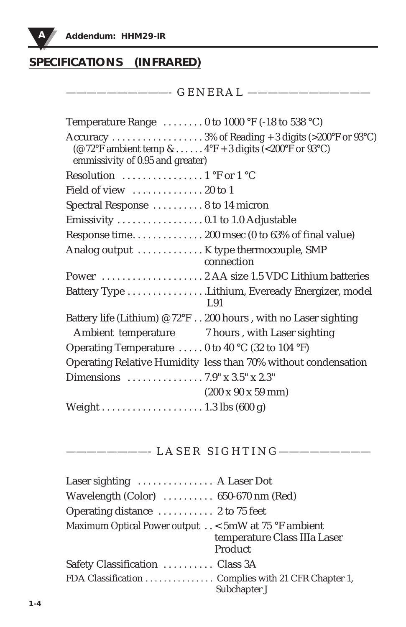

# **SPECIFICATIONS (INFRARED)**

——————————- G E N E R A L ————————————

| Temperature Range $\dots \dots 0$ to 1000 °F (-18 to 538 °C)                                  |
|-----------------------------------------------------------------------------------------------|
| (@ 72°F ambient temp & $4$ °F + 3 digits (<200°F or 93°C)<br>emmissivity of 0.95 and greater) |
| Resolution $\ldots \ldots \ldots \ldots \ldots 1$ °F or $1$ °C                                |
| Field of view $\dots\dots\dots\dots 20$ to 1                                                  |
| Spectral Response  8 to 14 micron                                                             |
|                                                                                               |
| Response time 200 msec (0 to 63% of final value)                                              |
| Analog output  K type thermocouple, SMP<br>connection                                         |
|                                                                                               |
| Battery Type Lithium, Eveready Energizer, model<br>L.91                                       |
| Battery life (Lithium) @ 72°F 200 hours, with no Laser sighting                               |
| Ambient temperature 7 hours, with Laser sighting                                              |
| Operating Temperature  0 to 40 °C (32 to 104 °F)                                              |
| Operating Relative Humidity less than 70% without condensation                                |
|                                                                                               |
| $(200 \times 90 \times 59 \text{ mm})$                                                        |
|                                                                                               |

# ————————- L A S E R S I G H T I N G —————————

| Laser sighting $\dots\dots\dots\dots$ A Laser Dot            |                                         |
|--------------------------------------------------------------|-----------------------------------------|
| Wavelength $(Color)$ $650-670$ nm $(Red)$                    |                                         |
| Operating distance  2 to 75 feet                             |                                         |
| Maximum Optical Power output $\ldots$ < 5mW at 75 °F ambient | temperature Class IIIa Laser<br>Product |
| Safety Classification  Class 3A                              |                                         |
| FDA Classification Complies with 21 CFR Chapter 1,           | Subchapter J                            |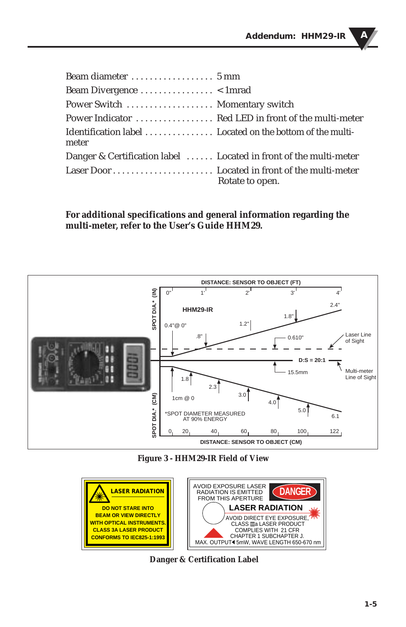| Beam Divergence $\dots \dots \dots \dots \dots$ < 1 mrad          |                 |
|-------------------------------------------------------------------|-----------------|
| Power Switch  Momentary switch                                    |                 |
|                                                                   |                 |
| Identification label Located on the bottom of the multi-<br>meter |                 |
| Danger & Certification label  Located in front of the multi-meter |                 |
|                                                                   | Rotate to open. |

**For additional specifications and general information regarding the multi-meter, refer to the User's Guide HHM29.**



**Figure 3 - HHM29-IR Field of View**



**Danger & Certification Label**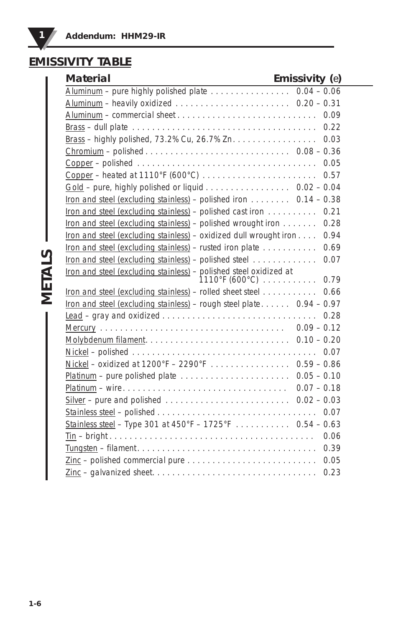# **EMISSIVITY TABLE**

| Emissivity $(e)$<br><b>Material</b>                                                                                 |  |
|---------------------------------------------------------------------------------------------------------------------|--|
| Aluminum - pure highly polished plate $\ldots \ldots \ldots \ldots \ldots$ 0.04 - 0.06                              |  |
|                                                                                                                     |  |
|                                                                                                                     |  |
| 0.22                                                                                                                |  |
| 0.03                                                                                                                |  |
| Chromium – polished $\ldots \ldots \ldots \ldots \ldots \ldots \ldots \ldots \ldots \ldots \ldots 0.08 - 0.36$      |  |
| Copper – polished $\ldots \ldots \ldots \ldots \ldots \ldots \ldots \ldots \ldots \ldots \ldots \ldots \ldots 0.05$ |  |
| 0.57                                                                                                                |  |
| Gold - pure, highly polished or liquid $\ldots \ldots \ldots \ldots \ldots 0.02 - 0.04$                             |  |
| Iron and steel (excluding stainless) – polished iron $\dots \dots$ 0.14 – 0.38                                      |  |
| Iron and steel (excluding stainless) - polished cast iron 0.21                                                      |  |
| Iron and steel (excluding stainless) - polished wrought iron<br>0.28                                                |  |
| Iron and steel (excluding stainless) – oxidized dull wrought iron $\dots$<br>0.94                                   |  |
| $iron$ and steel (excluding stainless) – rusted iron plate<br>0.69                                                  |  |
| Iron and steel (excluding stainless) - polished steel<br>0.07                                                       |  |
| Iron and steel (excluding stainless) - polished steel oxidized at                                                   |  |
| Iron and steel (excluding stainless) – rolled sheet steel $\ldots \ldots \ldots$ 0.66                               |  |
| Iron and steel (excluding stainless) – rough steel plate $\dots \dots 0.94 - 0.97$                                  |  |
|                                                                                                                     |  |
|                                                                                                                     |  |
|                                                                                                                     |  |
|                                                                                                                     |  |
| Nickel - oxidized at $1200^{\circ}F - 2290^{\circ}F - \cdots$                                                       |  |
| $Platinum$ – pure polished plate $\ldots \ldots \ldots \ldots \ldots \ldots \ldots 0.05 - 0.10$                     |  |
|                                                                                                                     |  |
|                                                                                                                     |  |
|                                                                                                                     |  |
| Stainless steel - Type 301 at 450°F - 1725°F  0.54 - 0.63                                                           |  |
|                                                                                                                     |  |
| 0.39                                                                                                                |  |
| 0.05                                                                                                                |  |
| 0.23                                                                                                                |  |

**METALS**